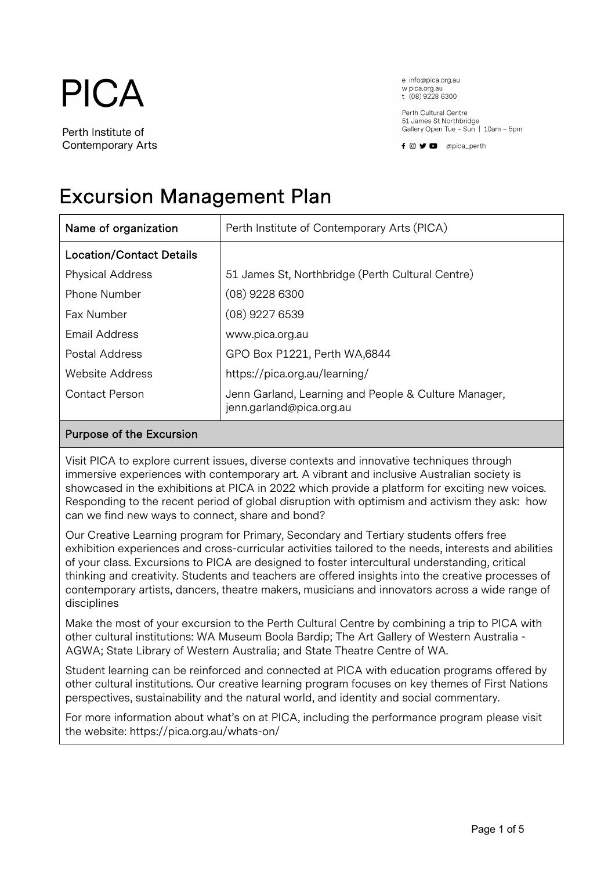

Perth Institute of **Contemporary Arts** 

e info@pica.org.au w pica.org.au t (08) 9228 6300

Perth Cultural Centre 51 James St Northbridge Gallery Open Tue - Sun | 10am - 5pm



# Excursion Management Plan

| Name of organization            | Perth Institute of Contemporary Arts (PICA)                                      |
|---------------------------------|----------------------------------------------------------------------------------|
| <b>Location/Contact Details</b> |                                                                                  |
| <b>Physical Address</b>         | 51 James St, Northbridge (Perth Cultural Centre)                                 |
| <b>Phone Number</b>             | $(08)$ 9228 6300                                                                 |
| Fax Number                      | $(08)$ 9227 6539                                                                 |
| Email Address                   | www.pica.org.au                                                                  |
| <b>Postal Address</b>           | GPO Box P1221, Perth WA,6844                                                     |
| <b>Website Address</b>          | https://pica.org.au/learning/                                                    |
| Contact Person                  | Jenn Garland, Learning and People & Culture Manager,<br>jenn.garland@pica.org.au |

## Purpose of the Excursion

Visit PICA to explore current issues, diverse contexts and innovative techniques through immersive experiences with contemporary art. A vibrant and inclusive Australian society is showcased in the exhibitions at PICA in 2022 which provide a platform for exciting new voices. Responding to the recent period of global disruption with optimism and activism they ask: how can we find new ways to connect, share and bond?

Our Creative Learning program for Primary, Secondary and Tertiary students offers free exhibition experiences and cross-curricular activities tailored to the needs, interests and abilities of your class. Excursions to PICA are designed to foster intercultural understanding, critical thinking and creativity. Students and teachers are offered insights into the creative processes of contemporary artists, dancers, theatre makers, musicians and innovators across a wide range of disciplines

Make the most of your excursion to the Perth Cultural Centre by combining a trip to PICA with other cultural institutions: WA Museum Boola Bardip; The Art Gallery of Western Australia - AGWA; State Library of Western Australia; and State Theatre Centre of WA.

Student learning can be reinforced and connected at PICA with education programs offered by other cultural institutions. Our creative learning program focuses on key themes of First Nations perspectives, sustainability and the natural world, and identity and social commentary.

For more information about what's on at PICA, including the performance program please visit the website: https://pica.org.au/whats-on/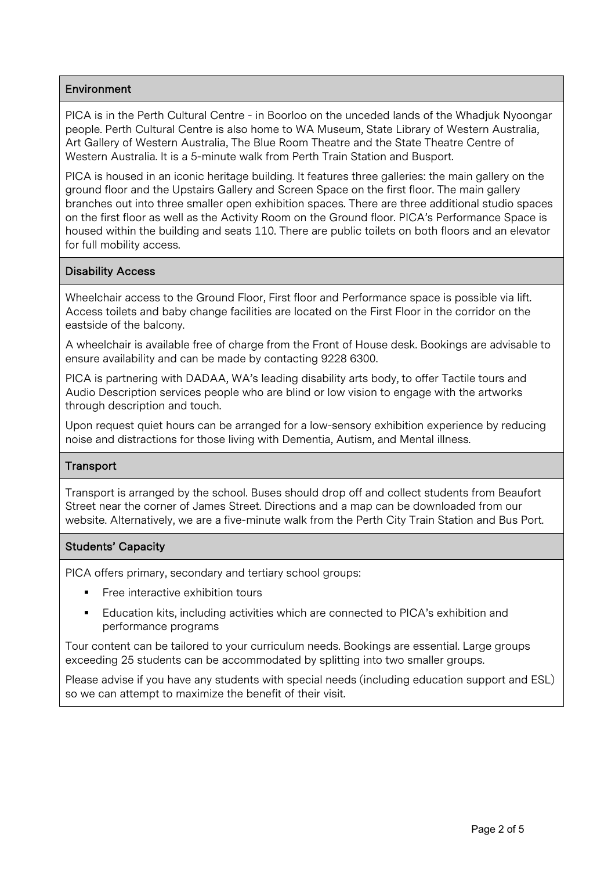## **Environment**

PICA is in the Perth Cultural Centre - in Boorloo on the unceded lands of the Whadjuk Nyoongar people. Perth Cultural Centre is also home to WA Museum, State Library of Western Australia, Art Gallery of Western Australia, The Blue Room Theatre and the State Theatre Centre of Western Australia. It is a 5-minute walk from Perth Train Station and Busport.

PICA is housed in an iconic heritage building. It features three galleries: the main gallery on the ground floor and the Upstairs Gallery and Screen Space on the first floor. The main gallery branches out into three smaller open exhibition spaces. There are three additional studio spaces on the first floor as well as the Activity Room on the Ground floor. PICA's Performance Space is housed within the building and seats 110. There are public toilets on both floors and an elevator for full mobility access.

#### Disability Access

Wheelchair access to the Ground Floor, First floor and Performance space is possible via lift. Access toilets and baby change facilities are located on the First Floor in the corridor on the eastside of the balcony.

A wheelchair is available free of charge from the Front of House desk. Bookings are advisable to ensure availability and can be made by contacting 9228 6300.

PICA is partnering with DADAA, WA's leading disability arts body, to offer Tactile tours and Audio Description services people who are blind or low vision to engage with the artworks through description and touch.

Upon request quiet hours can be arranged for a low-sensory exhibition experience by reducing noise and distractions for those living with Dementia, Autism, and Mental illness.

#### **Transport**

Transport is arranged by the school. Buses should drop off and collect students from Beaufort Street near the corner of James Street. Directions and a map can be downloaded from our website. Alternatively, we are a five-minute walk from the Perth City Train Station and Bus Port.

#### Students' Capacity

PICA offers primary, secondary and tertiary school groups:

- Free interactive exhibition tours
- Education kits, including activities which are connected to PICA's exhibition and performance programs

Tour content can be tailored to your curriculum needs. Bookings are essential. Large groups exceeding 25 students can be accommodated by splitting into two smaller groups.

Please advise if you have any students with special needs (including education support and ESL) so we can attempt to maximize the benefit of their visit.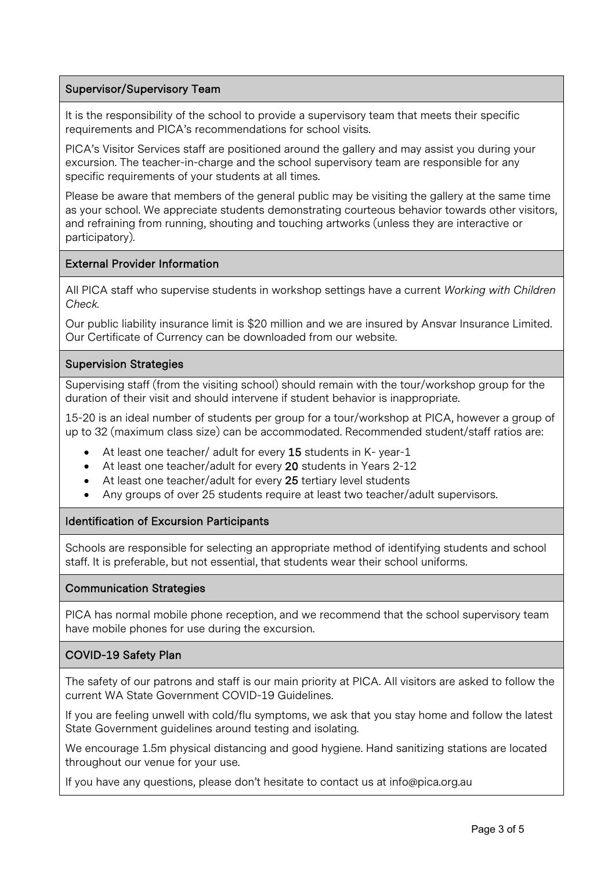## Supervisor/Supervisory Team

It is the responsibility of the school to provide a supervisory team that meets their specific requirements and PICA's recommendations for school visits.

PICA's Visitor Services staff are positioned around the gallery and may assist you during your excursion. The teacher-in-charge and the school supervisory team are responsible for any specific requirements of your students at all times.

Please be aware that members of the general public may be visiting the gallery at the same time as your school. We appreciate students demonstrating courteous behavior towards other visitors, and refraining from running, shouting and touching artworks (unless they are interactive or participatory).

#### External Provider Information

All PICA staff who supervise students in workshop settings have a current *Working with Children Check.* 

Our public liability insurance limit is \$20 million and we are insured by Ansvar Insurance Limited. Our Certificate of Currency can be downloaded from our website.

#### Supervision Strategies

Supervising staff (from the visiting school) should remain with the tour/workshop group for the duration of their visit and should intervene if student behavior is inappropriate.

15-20 is an ideal number of students per group for a tour/workshop at PICA, however a group of up to 32 (maximum class size) can be accommodated. Recommended student/staff ratios are:

- At least one teacher/ adult for every 15 students in K- year-1
- At least one teacher/adult for every 20 students in Years 2-12
- At least one teacher/adult for every 25 tertiary level students
- Any groups of over 25 students require at least two teacher/adult supervisors.

# Identification of Excursion Participants

Schools are responsible for selecting an appropriate method of identifying students and school staff. It is preferable, but not essential, that students wear their school uniforms.

#### Communication Strategies

PICA has normal mobile phone reception, and we recommend that the school supervisory team have mobile phones for use during the excursion.

# COVID-19 Safety Plan

The safety of our patrons and staff is our main priority at PICA. All visitors are asked to follow the current WA State Government COVID-19 Guidelines.

If you are feeling unwell with cold/flu symptoms, we ask that you stay home and follow the latest State Government guidelines around testing and isolating.

We encourage 1.5m physical distancing and good hygiene. Hand sanitizing stations are located throughout our venue for your use.

If you have any questions, please don't hesitate to contact us at info@pica.org.au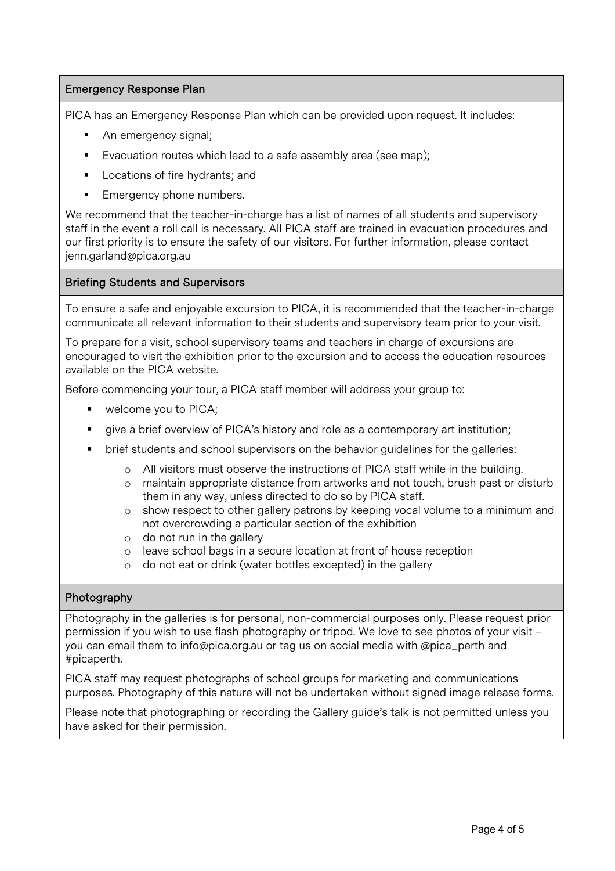## Emergency Response Plan

PICA has an Emergency Response Plan which can be provided upon request. It includes:

- An emergency signal;
- Evacuation routes which lead to a safe assembly area (see map);
- Locations of fire hydrants; and
- Emergency phone numbers.

We recommend that the teacher-in-charge has a list of names of all students and supervisory staff in the event a roll call is necessary. All PICA staff are trained in evacuation procedures and our first priority is to ensure the safety of our visitors. For further information, please contact jenn.garland@pica.org.au

#### Briefing Students and Supervisors

To ensure a safe and enjoyable excursion to PICA, it is recommended that the teacher-in-charge communicate all relevant information to their students and supervisory team prior to your visit.

To prepare for a visit, school supervisory teams and teachers in charge of excursions are encouraged to visit the exhibition prior to the excursion and to access the education resources available on the PICA website.

Before commencing your tour, a PICA staff member will address your group to:

- welcome you to PICA;
- § give a brief overview of PICA's history and role as a contemporary art institution;
- § brief students and school supervisors on the behavior guidelines for the galleries:
	- o All visitors must observe the instructions of PICA staff while in the building.
	- o maintain appropriate distance from artworks and not touch, brush past or disturb them in any way, unless directed to do so by PICA staff.
	- o show respect to other gallery patrons by keeping vocal volume to a minimum and not overcrowding a particular section of the exhibition
	- o do not run in the gallery
	- o leave school bags in a secure location at front of house reception
	- o do not eat or drink (water bottles excepted) in the gallery

#### Photography

Photography in the galleries is for personal, non-commercial purposes only. Please request prior permission if you wish to use flash photography or tripod. We love to see photos of your visit – you can email them to info@pica.org.au or tag us on social media with @pica\_perth and #picaperth.

PICA staff may request photographs of school groups for marketing and communications purposes. Photography of this nature will not be undertaken without signed image release forms.

Please note that photographing or recording the Gallery guide's talk is not permitted unless you have asked for their permission.